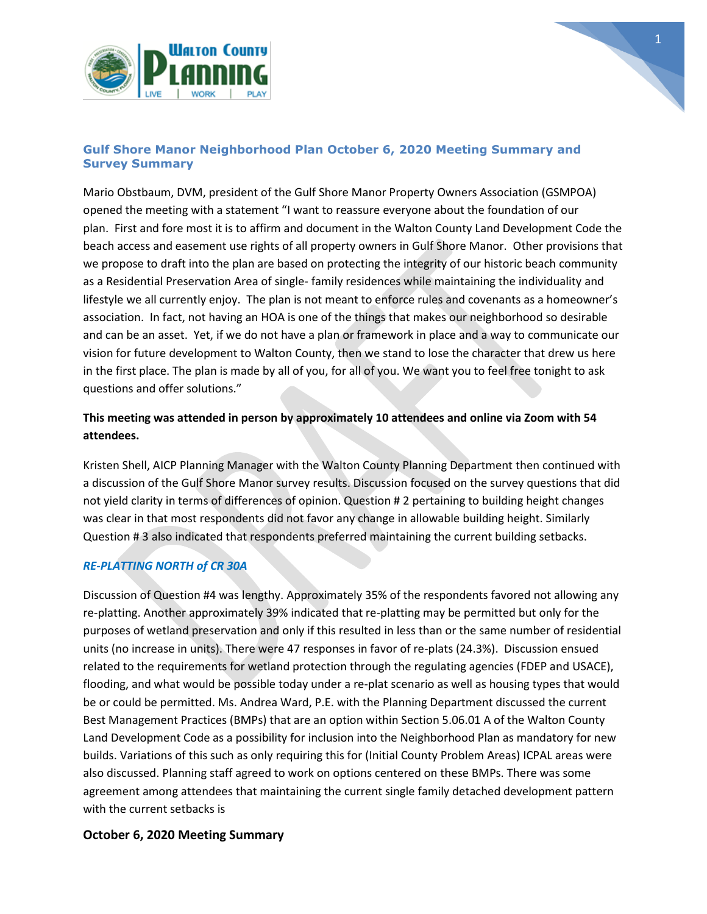



# **Gulf Shore Manor Neighborhood Plan October 6, 2020 Meeting Summary and Survey Summary**

Mario Obstbaum, DVM, president of the Gulf Shore Manor Property Owners Association (GSMPOA) opened the meeting with a statement "I want to reassure everyone about the foundation of our plan. First and fore most it is to affirm and document in the Walton County Land Development Code the beach access and easement use rights of all property owners in Gulf Shore Manor. Other provisions that we propose to draft into the plan are based on protecting the integrity of our historic beach community as a Residential Preservation Area of single- family residences while maintaining the individuality and lifestyle we all currently enjoy. The plan is not meant to enforce rules and covenants as a homeowner's association. In fact, not having an HOA is one of the things that makes our neighborhood so desirable and can be an asset. Yet, if we do not have a plan or framework in place and a way to communicate our vision for future development to Walton County, then we stand to lose the character that drew us here in the first place. The plan is made by all of you, for all of you. We want you to feel free tonight to ask questions and offer solutions."

# **This meeting was attended in person by approximately 10 attendees and online via Zoom with 54 attendees.**

Kristen Shell, AICP Planning Manager with the Walton County Planning Department then continued with a discussion of the Gulf Shore Manor survey results. Discussion focused on the survey questions that did not yield clarity in terms of differences of opinion. Question # 2 pertaining to building height changes was clear in that most respondents did not favor any change in allowable building height. Similarly Question # 3 also indicated that respondents preferred maintaining the current building setbacks.

# *RE-PLATTING NORTH of CR 30A*

Discussion of Question #4 was lengthy. Approximately 35% of the respondents favored not allowing any re-platting. Another approximately 39% indicated that re-platting may be permitted but only for the purposes of wetland preservation and only if this resulted in less than or the same number of residential units (no increase in units). There were 47 responses in favor of re-plats (24.3%). Discussion ensued related to the requirements for wetland protection through the regulating agencies (FDEP and USACE), flooding, and what would be possible today under a re-plat scenario as well as housing types that would be or could be permitted. Ms. Andrea Ward, P.E. with the Planning Department discussed the current Best Management Practices (BMPs) that are an option within Section 5.06.01 A of the Walton County Land Development Code as a possibility for inclusion into the Neighborhood Plan as mandatory for new builds. Variations of this such as only requiring this for (Initial County Problem Areas) ICPAL areas were also discussed. Planning staff agreed to work on options centered on these BMPs. There was some agreement among attendees that maintaining the current single family detached development pattern with the current setbacks is

# **October 6, 2020 Meeting Summary**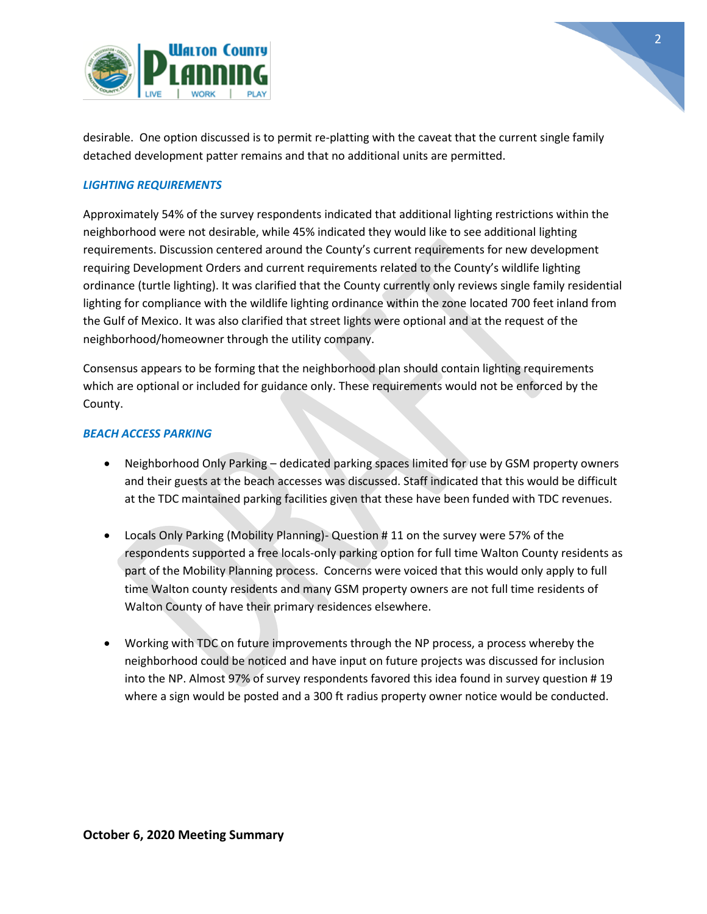



## *LIGHTING REQUIREMENTS*

Approximately 54% of the survey respondents indicated that additional lighting restrictions within the neighborhood were not desirable, while 45% indicated they would like to see additional lighting requirements. Discussion centered around the County's current requirements for new development requiring Development Orders and current requirements related to the County's wildlife lighting ordinance (turtle lighting). It was clarified that the County currently only reviews single family residential lighting for compliance with the wildlife lighting ordinance within the zone located 700 feet inland from the Gulf of Mexico. It was also clarified that street lights were optional and at the request of the neighborhood/homeowner through the utility company.

Consensus appears to be forming that the neighborhood plan should contain lighting requirements which are optional or included for guidance only. These requirements would not be enforced by the County.

#### *BEACH ACCESS PARKING*

- Neighborhood Only Parking dedicated parking spaces limited for use by GSM property owners and their guests at the beach accesses was discussed. Staff indicated that this would be difficult at the TDC maintained parking facilities given that these have been funded with TDC revenues.
- Locals Only Parking (Mobility Planning)- Question # 11 on the survey were 57% of the respondents supported a free locals-only parking option for full time Walton County residents as part of the Mobility Planning process. Concerns were voiced that this would only apply to full time Walton county residents and many GSM property owners are not full time residents of Walton County of have their primary residences elsewhere.
- Working with TDC on future improvements through the NP process, a process whereby the neighborhood could be noticed and have input on future projects was discussed for inclusion into the NP. Almost 97% of survey respondents favored this idea found in survey question # 19 where a sign would be posted and a 300 ft radius property owner notice would be conducted.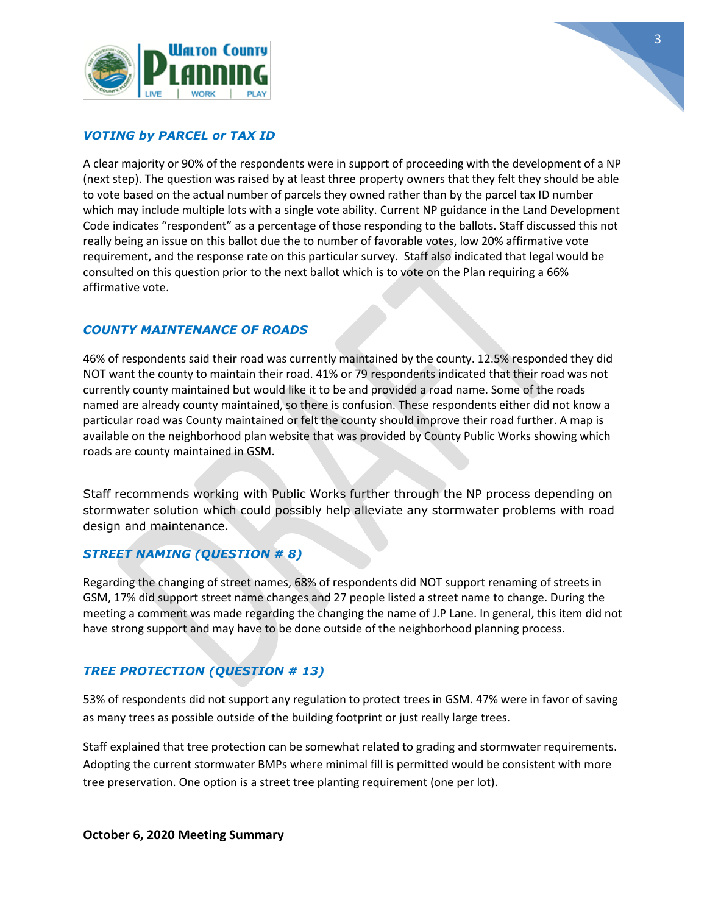



## *VOTING by PARCEL or TAX ID*

A clear majority or 90% of the respondents were in support of proceeding with the development of a NP (next step). The question was raised by at least three property owners that they felt they should be able to vote based on the actual number of parcels they owned rather than by the parcel tax ID number which may include multiple lots with a single vote ability. Current NP guidance in the Land Development Code indicates "respondent" as a percentage of those responding to the ballots. Staff discussed this not really being an issue on this ballot due the to number of favorable votes, low 20% affirmative vote requirement, and the response rate on this particular survey. Staff also indicated that legal would be consulted on this question prior to the next ballot which is to vote on the Plan requiring a 66% affirmative vote.

### *COUNTY MAINTENANCE OF ROADS*

46% of respondents said their road was currently maintained by the county. 12.5% responded they did NOT want the county to maintain their road. 41% or 79 respondents indicated that their road was not currently county maintained but would like it to be and provided a road name. Some of the roads named are already county maintained, so there is confusion. These respondents either did not know a particular road was County maintained or felt the county should improve their road further. A map is available on the neighborhood plan website that was provided by County Public Works showing which roads are county maintained in GSM.

Staff recommends working with Public Works further through the NP process depending on stormwater solution which could possibly help alleviate any stormwater problems with road design and maintenance.

#### *STREET NAMING (QUESTION # 8)*

Regarding the changing of street names, 68% of respondents did NOT support renaming of streets in GSM, 17% did support street name changes and 27 people listed a street name to change. During the meeting a comment was made regarding the changing the name of J.P Lane. In general, this item did not have strong support and may have to be done outside of the neighborhood planning process.

# *TREE PROTECTION (QUESTION # 13)*

53% of respondents did not support any regulation to protect trees in GSM. 47% were in favor of saving as many trees as possible outside of the building footprint or just really large trees.

Staff explained that tree protection can be somewhat related to grading and stormwater requirements. Adopting the current stormwater BMPs where minimal fill is permitted would be consistent with more tree preservation. One option is a street tree planting requirement (one per lot).